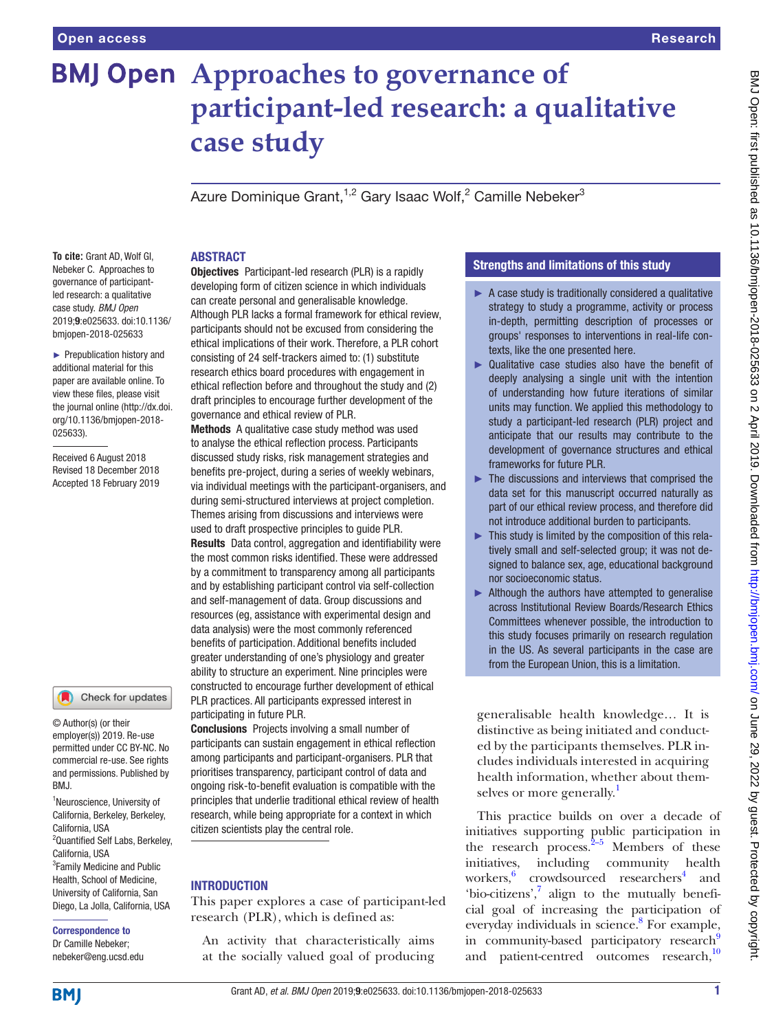# **BMJ Open** Approaches to governance of **participant-led research: a qualitative case study**

Azure Dominique Grant, $^{1,2}$  Gary Isaac Wolf, $^{2}$  Camille Nebeker $^{3}$ 

#### **To cite:** Grant AD, Wolf GI, Nebeker C. Approaches to governance of participantled research: a qualitative case study. *BMJ Open* 2019;9:e025633. doi:10.1136/ bmjopen-2018-025633

► Prepublication history and additional material for this paper are available online. To view these files, please visit the journal online [\(http://dx.doi.](http://dx.doi.org/10.1136/bmjopen-2018-025633) [org/10.1136/bmjopen-2018-](http://dx.doi.org/10.1136/bmjopen-2018-025633) [025633\)](http://dx.doi.org/10.1136/bmjopen-2018-025633).

Received 6 August 2018 Revised 18 December 2018 Accepted 18 February 2019

#### Check for updates

© Author(s) (or their employer(s)) 2019. Re-use permitted under CC BY-NC. No commercial re-use. See rights and permissions. Published by BMJ.

1 Neuroscience, University of California, Berkeley, Berkeley, California, USA 2 Quantified Self Labs, Berkeley, California, USA <sup>3</sup> Family Medicine and Public Health, School of Medicine, University of California, San Diego, La Jolla, California, USA

Correspondence to

Dr Camille Nebeker; nebeker@eng.ucsd.edu

#### **ABSTRACT**

**Objectives** Participant-led research (PLR) is a rapidly developing form of citizen science in which individuals can create personal and generalisable knowledge. Although PLR lacks a formal framework for ethical review, participants should not be excused from considering the ethical implications of their work. Therefore, a PLR cohort consisting of 24 self-trackers aimed to: (1) substitute research ethics board procedures with engagement in ethical reflection before and throughout the study and (2) draft principles to encourage further development of the governance and ethical review of PLR.

Methods A qualitative case study method was used to analyse the ethical reflection process. Participants discussed study risks, risk management strategies and benefits pre-project, during a series of weekly webinars, via individual meetings with the participant-organisers, and during semi-structured interviews at project completion. Themes arising from discussions and interviews were used to draft prospective principles to guide PLR. Results Data control, aggregation and identifiability were the most common risks identified. These were addressed by a commitment to transparency among all participants and by establishing participant control via self-collection and self-management of data. Group discussions and resources (eg, assistance with experimental design and data analysis) were the most commonly referenced benefits of participation. Additional benefits included greater understanding of one's physiology and greater ability to structure an experiment. Nine principles were constructed to encourage further development of ethical PLR practices. All participants expressed interest in participating in future PLR.

Conclusions Projects involving a small number of participants can sustain engagement in ethical reflection among participants and participant-organisers. PLR that prioritises transparency, participant control of data and ongoing risk-to-benefit evaluation is compatible with the principles that underlie traditional ethical review of health research, while being appropriate for a context in which citizen scientists play the central role.

# **INTRODUCTION**

This paper explores a case of participant-led research (PLR), which is defined as:

An activity that characteristically aims at the socially valued goal of producing

# Strengths and limitations of this study

- ► A case study is traditionally considered a qualitative strategy to study a programme, activity or process in-depth, permitting description of processes or groups' responses to interventions in real-life contexts, like the one presented here.
- ► Qualitative case studies also have the benefit of deeply analysing a single unit with the intention of understanding how future iterations of similar units may function. We applied this methodology to study a participant-led research (PLR) project and anticipate that our results may contribute to the development of governance structures and ethical frameworks for future PLR.
- $\blacktriangleright$  The discussions and interviews that comprised the data set for this manuscript occurred naturally as part of our ethical review process, and therefore did not introduce additional burden to participants.
- ► This study is limited by the composition of this relatively small and self-selected group; it was not designed to balance sex, age, educational background nor socioeconomic status.
- ► Although the authors have attempted to generalise across Institutional Review Boards/Research Ethics Committees whenever possible, the introduction to this study focuses primarily on research regulation in the US. As several participants in the case are from the European Union, this is a limitation.

generalisable health knowledge… It is distinctive as being initiated and conducted by the participants themselves. PLR includes individuals interested in acquiring health information, whether about them-selves or more generally.<sup>[1](#page-9-0)</sup>

This practice builds on over a decade of initiatives supporting public participation in the research process. $2-5$  Members of these initiatives, including community health workers, crowdsourced researchers<sup>[4](#page-9-3)</sup> and 'bio-citizens',<sup>7</sup> align to the mutually beneficial goal of increasing the participation of everyday individuals in science.<sup>[8](#page-9-5)</sup> For example, in community-based participatory research<sup>9</sup> and patient-centred outcomes research,<sup>10</sup>

**BMI**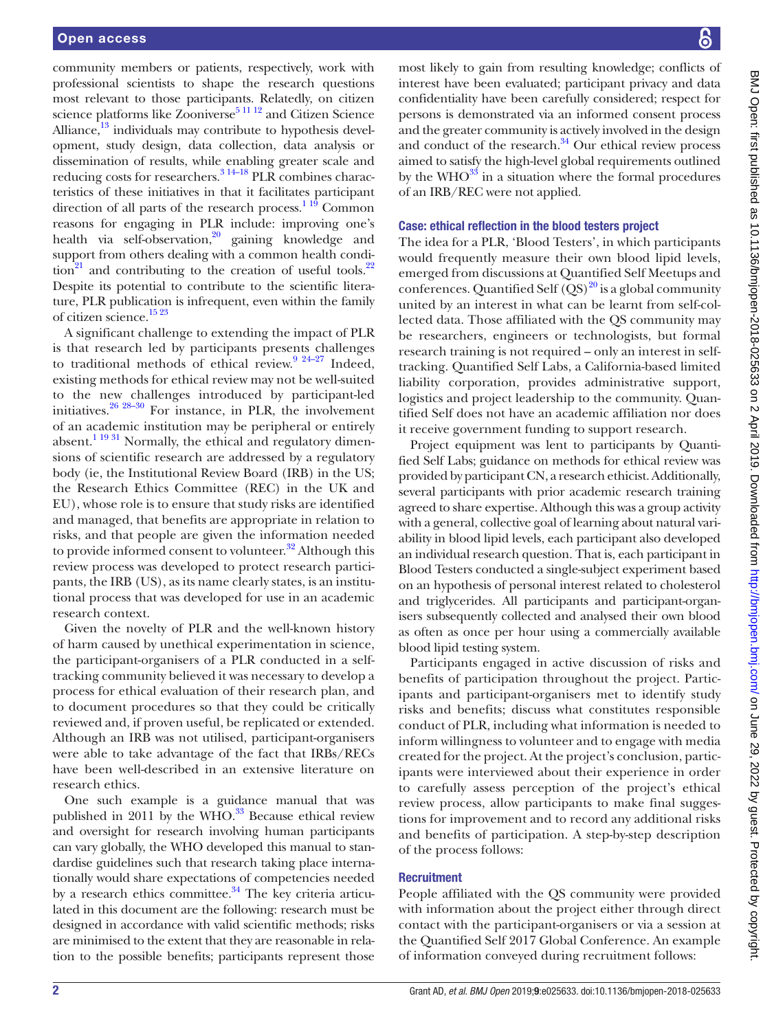community members or patients, respectively, work with professional scientists to shape the research questions most relevant to those participants. Relatedly, on citizen science platforms like Zooniverse<sup>5 11 12</sup> and Citizen Science Alliance, $^{13}$  individuals may contribute to hypothesis development, study design, data collection, data analysis or dissemination of results, while enabling greater scale and reducing costs for researchers.<sup>3 14–18</sup> PLR combines characteristics of these initiatives in that it facilitates participant direction of all parts of the research process. $1\frac{19}{9}$  Common reasons for engaging in PLR include: improving one's health via self-observation, $20$  gaining knowledge and support from others dealing with a common health condi- $\tau$  tion<sup>21</sup> and contributing to the creation of useful tools.<sup>[22](#page-9-13)</sup> Despite its potential to contribute to the scientific literature, PLR publication is infrequent, even within the family of citizen science.<sup>15 23</sup>

A significant challenge to extending the impact of PLR is that research led by participants presents challenges to traditional methods of ethical review.<sup>9 24–27</sup> Indeed, existing methods for ethical review may not be well-suited to the new challenges introduced by participant-led initiatives[.26 28–30](#page-9-15) For instance, in PLR, the involvement of an academic institution may be peripheral or entirely absent.<sup>1 19 31</sup> Normally, the ethical and regulatory dimensions of scientific research are addressed by a regulatory body (ie, the Institutional Review Board (IRB) in the US; the Research Ethics Committee (REC) in the UK and EU), whose role is to ensure that study risks are identified and managed, that benefits are appropriate in relation to risks, and that people are given the information needed to provide informed consent to volunteer.<sup>32</sup> Although this review process was developed to protect research participants, the IRB (US), as its name clearly states, is an institutional process that was developed for use in an academic research context.

Given the novelty of PLR and the well-known history of harm caused by unethical experimentation in science, the participant-organisers of a PLR conducted in a selftracking community believed it was necessary to develop a process for ethical evaluation of their research plan, and to document procedures so that they could be critically reviewed and, if proven useful, be replicated or extended. Although an IRB was not utilised, participant-organisers were able to take advantage of the fact that IRBs/RECs have been well-described in an extensive literature on research ethics.

One such example is a guidance manual that was published in 2011 by the WHO. $^{33}$  Because ethical review and oversight for research involving human participants can vary globally, the WHO developed this manual to standardise guidelines such that research taking place internationally would share expectations of competencies needed by a research ethics committee. $34$  The key criteria articulated in this document are the following: research must be designed in accordance with valid scientific methods; risks are minimised to the extent that they are reasonable in relation to the possible benefits; participants represent those

BMJ Open: first published as 10.1136/bmjopen-2018-025633 on 2 April 2019. Downloaded from http://bmjopen.bmj.com/ June 29, 2022 by guest. Protected by copyright BMJ Open: first published as 10.1136/bmjopen-2018-0253 on 2 April 2019. Downloaded from bublishen.bmj.com/ on June 29, 2022 by guest. Protected by copyright.

most likely to gain from resulting knowledge; conflicts of interest have been evaluated; participant privacy and data confidentiality have been carefully considered; respect for persons is demonstrated via an informed consent process and the greater community is actively involved in the design and conduct of the research.<sup>34</sup> Our ethical review process aimed to satisfy the high-level global requirements outlined by the  $WHO^{33}$  in a situation where the formal procedures of an IRB/REC were not applied.

#### Case: ethical reflection in the blood testers project

The idea for a PLR, 'Blood Testers', in which participants would frequently measure their own blood lipid levels, emerged from discussions at Quantified Self Meetups and conferences. Quantified Self  $(QS)^{20}$  is a global community united by an interest in what can be learnt from self-collected data. Those affiliated with the QS community may be researchers, engineers or technologists, but formal research training is not required – only an interest in selftracking. Quantified Self Labs, a California-based limited liability corporation, provides administrative support, logistics and project leadership to the community. Quantified Self does not have an academic affiliation nor does it receive government funding to support research.

Project equipment was lent to participants by Quantified Self Labs; guidance on methods for ethical review was provided by participant CN, a research ethicist. Additionally, several participants with prior academic research training agreed to share expertise. Although this was a group activity with a general, collective goal of learning about natural variability in blood lipid levels, each participant also developed an individual research question. That is, each participant in Blood Testers conducted a single-subject experiment based on an hypothesis of personal interest related to cholesterol and triglycerides. All participants and participant-organisers subsequently collected and analysed their own blood as often as once per hour using a commercially available blood lipid testing system.

Participants engaged in active discussion of risks and benefits of participation throughout the project. Participants and participant-organisers met to identify study risks and benefits; discuss what constitutes responsible conduct of PLR, including what information is needed to inform willingness to volunteer and to engage with media created for the project. At the project's conclusion, participants were interviewed about their experience in order to carefully assess perception of the project's ethical review process, allow participants to make final suggestions for improvement and to record any additional risks and benefits of participation. A step-by-step description of the process follows:

#### **Recruitment**

People affiliated with the QS community were provided with information about the project either through direct contact with the participant-organisers or via a session at the Quantified Self 2017 Global Conference. An example of information conveyed during recruitment follows: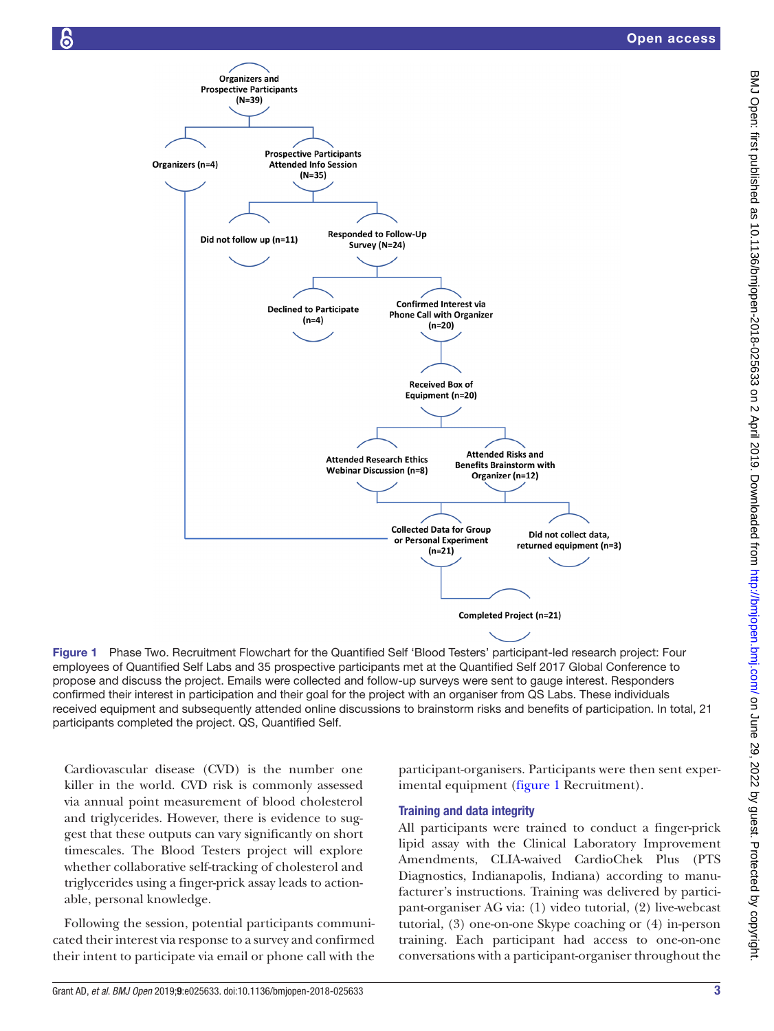

<span id="page-2-0"></span>Figure 1 Phase Two. Recruitment Flowchart for the Quantified Self 'Blood Testers' participant-led research project: Four employees of Quantified Self Labs and 35 prospective participants met at the Quantified Self 2017 Global Conference to propose and discuss the project. Emails were collected and follow-up surveys were sent to gauge interest. Responders confirmed their interest in participation and their goal for the project with an organiser from QS Labs. These individuals received equipment and subsequently attended online discussions to brainstorm risks and benefits of participation. In total, 21 participants completed the project. QS, Quantified Self.

Cardiovascular disease (CVD) is the number one killer in the world. CVD risk is commonly assessed via annual point measurement of blood cholesterol and triglycerides. However, there is evidence to suggest that these outputs can vary significantly on short timescales. The Blood Testers project will explore whether collaborative self-tracking of cholesterol and triglycerides using a finger-prick assay leads to actionable, personal knowledge.

Following the session, potential participants communicated their interest via response to a survey and confirmed their intent to participate via email or phone call with the

participant-organisers. Participants were then sent exper-imental equipment [\(figure](#page-2-0) 1 Recruitment).

#### Training and data integrity

All participants were trained to conduct a finger-prick lipid assay with the Clinical Laboratory Improvement Amendments, CLIA-waived CardioChek Plus (PTS Diagnostics, Indianapolis, Indiana) according to manufacturer's instructions. Training was delivered by participant-organiser AG via: (1) video tutorial, (2) live-webcast tutorial, (3) one-on-one Skype coaching or (4) in-person training. Each participant had access to one-on-one conversations with a participant-organiser throughout the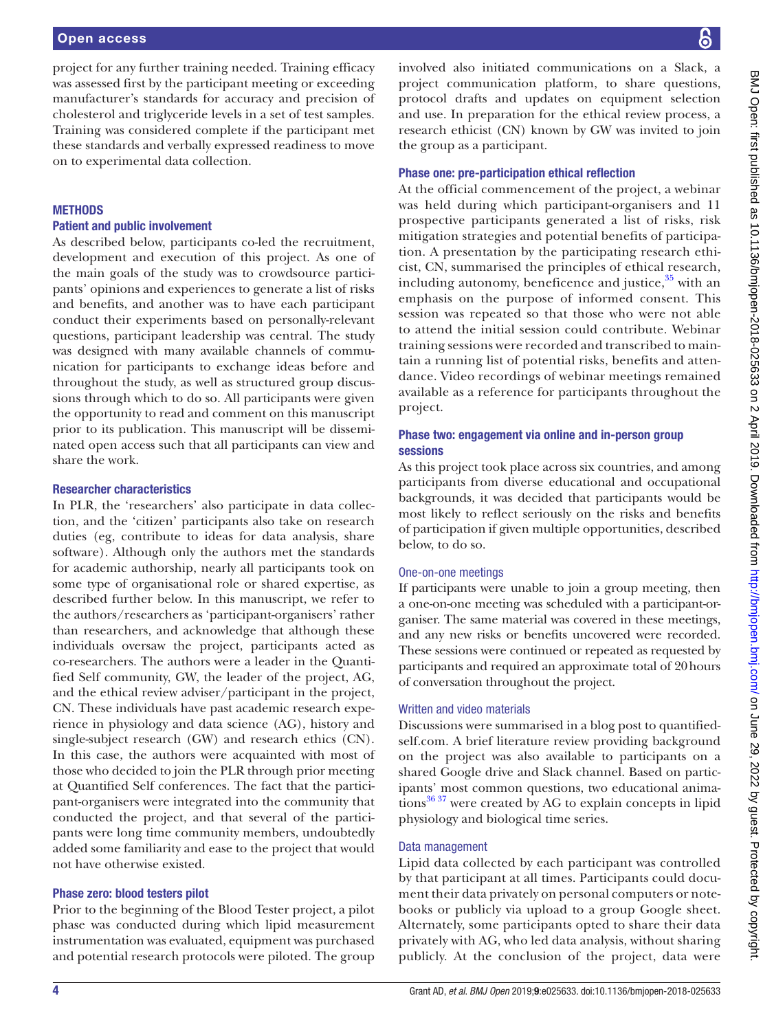project for any further training needed. Training efficacy was assessed first by the participant meeting or exceeding manufacturer's standards for accuracy and precision of cholesterol and triglyceride levels in a set of test samples. Training was considered complete if the participant met these standards and verbally expressed readiness to move on to experimental data collection.

#### **METHODS**

#### Patient and public involvement

As described below, participants co-led the recruitment, development and execution of this project. As one of the main goals of the study was to crowdsource participants' opinions and experiences to generate a list of risks and benefits, and another was to have each participant conduct their experiments based on personally-relevant questions, participant leadership was central. The study was designed with many available channels of communication for participants to exchange ideas before and throughout the study, as well as structured group discussions through which to do so. All participants were given the opportunity to read and comment on this manuscript prior to its publication. This manuscript will be disseminated open access such that all participants can view and share the work.

#### Researcher characteristics

In PLR, the 'researchers' also participate in data collection, and the 'citizen' participants also take on research duties (eg, contribute to ideas for data analysis, share software). Although only the authors met the standards for academic authorship, nearly all participants took on some type of organisational role or shared expertise, as described further below. In this manuscript, we refer to the authors/researchers as 'participant-organisers' rather than researchers, and acknowledge that although these individuals oversaw the project, participants acted as co-researchers. The authors were a leader in the Quantified Self community, GW, the leader of the project, AG, and the ethical review adviser/participant in the project, CN. These individuals have past academic research experience in physiology and data science (AG), history and single-subject research (GW) and research ethics (CN). In this case, the authors were acquainted with most of those who decided to join the PLR through prior meeting at Quantified Self conferences. The fact that the participant-organisers were integrated into the community that conducted the project, and that several of the participants were long time community members, undoubtedly added some familiarity and ease to the project that would not have otherwise existed.

#### Phase zero: blood testers pilot

Prior to the beginning of the Blood Tester project, a pilot phase was conducted during which lipid measurement instrumentation was evaluated, equipment was purchased and potential research protocols were piloted. The group

involved also initiated communications on a Slack, a project communication platform, to share questions, protocol drafts and updates on equipment selection and use. In preparation for the ethical review process, a research ethicist (CN) known by GW was invited to join the group as a participant.

#### Phase one: pre-participation ethical reflection

At the official commencement of the project, a webinar was held during which participant-organisers and 11 prospective participants generated a list of risks, risk mitigation strategies and potential benefits of participation. A presentation by the participating research ethicist, CN, summarised the principles of ethical research, including autonomy, beneficence and justice, $35 \text{ with an}$  $35 \text{ with an}$ emphasis on the purpose of informed consent. This session was repeated so that those who were not able to attend the initial session could contribute. Webinar training sessions were recorded and transcribed to maintain a running list of potential risks, benefits and attendance. Video recordings of webinar meetings remained available as a reference for participants throughout the project.

#### Phase two: engagement via online and in-person group sessions

As this project took place across six countries, and among participants from diverse educational and occupational backgrounds, it was decided that participants would be most likely to reflect seriously on the risks and benefits of participation if given multiple opportunities, described below, to do so.

#### One-on-one meetings

If participants were unable to join a group meeting, then a one-on-one meeting was scheduled with a participant-organiser. The same material was covered in these meetings, and any new risks or benefits uncovered were recorded. These sessions were continued or repeated as requested by participants and required an approximate total of 20hours of conversation throughout the project.

#### Written and video materials

Discussions were summarised in a blog post to quantifiedself.com. A brief literature review providing background on the project was also available to participants on a shared Google drive and Slack channel. Based on participants' most common questions, two educational anima $tions<sup>3637</sup>$  were created by AG to explain concepts in lipid physiology and biological time series.

#### Data management

Lipid data collected by each participant was controlled by that participant at all times. Participants could document their data privately on personal computers or notebooks or publicly via upload to a group Google sheet. Alternately, some participants opted to share their data privately with AG, who led data analysis, without sharing publicly. At the conclusion of the project, data were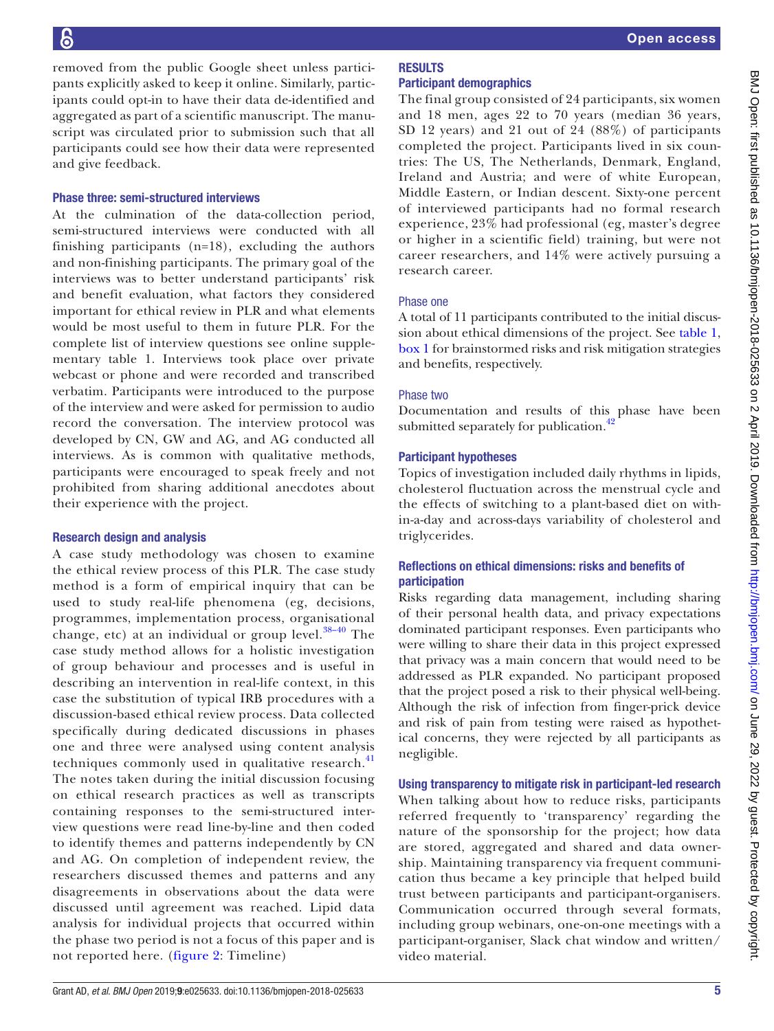removed from the public Google sheet unless participants explicitly asked to keep it online. Similarly, participants could opt-in to have their data de-identified and aggregated as part of a scientific manuscript. The manuscript was circulated prior to submission such that all participants could see how their data were represented and give feedback.

#### Phase three: semi-structured interviews

At the culmination of the data-collection period, semi-structured interviews were conducted with all finishing participants (n=18), excluding the authors and non-finishing participants. The primary goal of the interviews was to better understand participants' risk and benefit evaluation, what factors they considered important for ethical review in PLR and what elements would be most useful to them in future PLR. For the complete list of interview questions see online [supple](https://dx.doi.org/10.1136/bmjopen-2018-025633)[mentary table 1.](https://dx.doi.org/10.1136/bmjopen-2018-025633) Interviews took place over private webcast or phone and were recorded and transcribed verbatim. Participants were introduced to the purpose of the interview and were asked for permission to audio record the conversation. The interview protocol was developed by CN, GW and AG, and AG conducted all interviews. As is common with qualitative methods, participants were encouraged to speak freely and not prohibited from sharing additional anecdotes about their experience with the project.

# Research design and analysis

A case study methodology was chosen to examine the ethical review process of this PLR. The case study method is a form of empirical inquiry that can be used to study real-life phenomena (eg, decisions, programmes, implementation process, organisational change, etc) at an individual or group level.<sup>38-40</sup> The case study method allows for a holistic investigation of group behaviour and processes and is useful in describing an intervention in real-life context, in this case the substitution of typical IRB procedures with a discussion-based ethical review process. Data collected specifically during dedicated discussions in phases one and three were analysed using content analysis techniques commonly used in qualitative research.<sup>[41](#page-10-1)</sup> The notes taken during the initial discussion focusing on ethical research practices as well as transcripts containing responses to the semi-structured interview questions were read line-by-line and then coded to identify themes and patterns independently by CN and AG. On completion of independent review, the researchers discussed themes and patterns and any disagreements in observations about the data were discussed until agreement was reached. Lipid data analysis for individual projects that occurred within the phase two period is not a focus of this paper and is not reported here. [\(figure](#page-5-0) 2: Timeline)

# Participant demographics

The final group consisted of 24 participants, six women and 18 men, ages 22 to 70 years (median 36 years, SD 12 years) and 21 out of 24 (88%) of participants completed the project. Participants lived in six countries: The US, The Netherlands, Denmark, England, Ireland and Austria; and were of white European, Middle Eastern, or Indian descent. Sixty-one percent of interviewed participants had no formal research experience, 23% had professional (eg, master's degree or higher in a scientific field) training, but were not career researchers, and 14% were actively pursuing a research career.

# Phase one

A total of 11 participants contributed to the initial discussion about ethical dimensions of the project. See [table](#page-6-0) 1, [box](#page-7-0) 1 for brainstormed risks and risk mitigation strategies and benefits, respectively.

# Phase two

Documentation and results of this phase have been submitted separately for publication.<sup>4</sup>

# Participant hypotheses

Topics of investigation included daily rhythms in lipids, cholesterol fluctuation across the menstrual cycle and the effects of switching to a plant-based diet on within-a-day and across-days variability of cholesterol and triglycerides.

# Reflections on ethical dimensions: risks and benefits of participation

Risks regarding data management, including sharing of their personal health data, and privacy expectations dominated participant responses. Even participants who were willing to share their data in this project expressed that privacy was a main concern that would need to be addressed as PLR expanded. No participant proposed that the project posed a risk to their physical well-being. Although the risk of infection from finger-prick device and risk of pain from testing were raised as hypothetical concerns, they were rejected by all participants as negligible.

# Using transparency to mitigate risk in participant-led research

When talking about how to reduce risks, participants referred frequently to 'transparency' regarding the nature of the sponsorship for the project; how data are stored, aggregated and shared and data ownership. Maintaining transparency via frequent communication thus became a key principle that helped build trust between participants and participant-organisers. Communication occurred through several formats, including group webinars, one-on-one meetings with a participant-organiser, Slack chat window and written/ video material.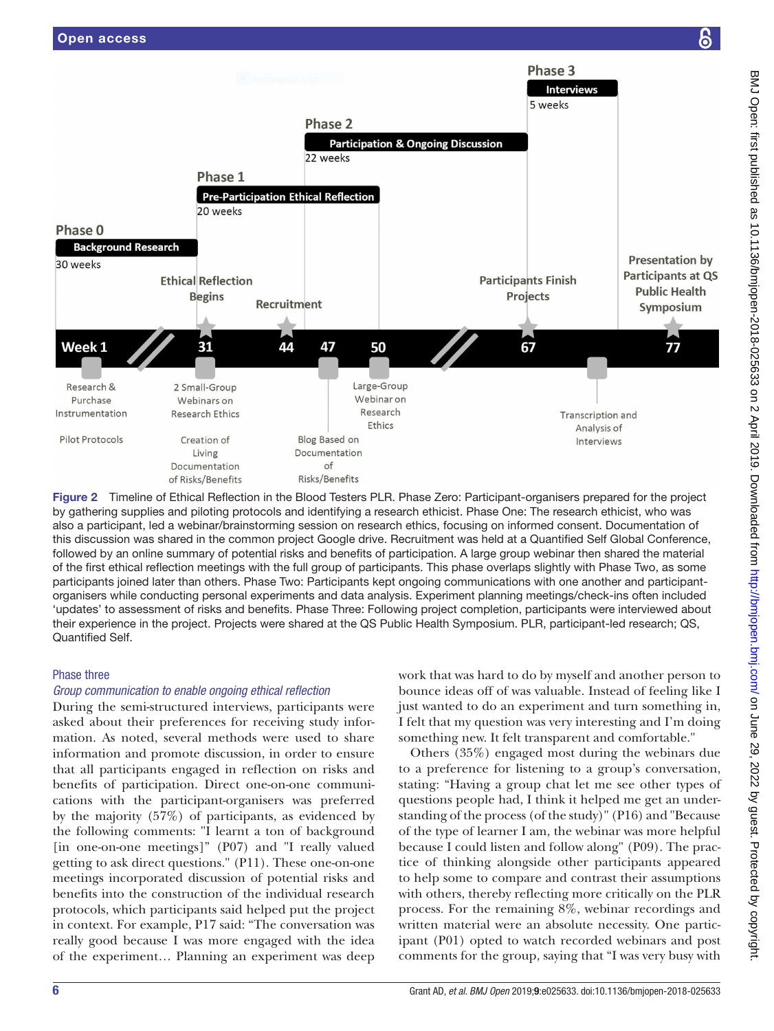

<span id="page-5-0"></span>Figure 2 Timeline of Ethical Reflection in the Blood Testers PLR. Phase Zero: Participant-organisers prepared for the project by gathering supplies and piloting protocols and identifying a research ethicist. Phase One: The research ethicist, who was also a participant, led a webinar/brainstorming session on research ethics, focusing on informed consent. Documentation of this discussion was shared in the common project Google drive. Recruitment was held at a Quantified Self Global Conference, followed by an online summary of potential risks and benefits of participation. A large group webinar then shared the material of the first ethical reflection meetings with the full group of participants. This phase overlaps slightly with Phase Two, as some participants joined later than others. Phase Two: Participants kept ongoing communications with one another and participantorganisers while conducting personal experiments and data analysis. Experiment planning meetings/check-ins often included 'updates' to assessment of risks and benefits. Phase Three: Following project completion, participants were interviewed about their experience in the project. Projects were shared at the QS Public Health Symposium. PLR, participant-led research; QS, Quantified Self.

# Phase three

# *Group communication to enable ongoing ethical reflection*

During the semi-structured interviews, participants were asked about their preferences for receiving study information. As noted, several methods were used to share information and promote discussion, in order to ensure that all participants engaged in reflection on risks and benefits of participation. Direct one-on-one communications with the participant-organisers was preferred by the majority (57%) of participants, as evidenced by the following comments: "I learnt a ton of background [in one-on-one meetings]" (P07) and "I really valued getting to ask direct questions." (P11). These one-on-one meetings incorporated discussion of potential risks and benefits into the construction of the individual research protocols, which participants said helped put the project in context. For example, P17 said: "The conversation was really good because I was more engaged with the idea of the experiment… Planning an experiment was deep

work that was hard to do by myself and another person to bounce ideas off of was valuable. Instead of feeling like I just wanted to do an experiment and turn something in, I felt that my question was very interesting and I'm doing something new. It felt transparent and comfortable."

Others (35%) engaged most during the webinars due to a preference for listening to a group's conversation, stating: "Having a group chat let me see other types of questions people had, I think it helped me get an understanding of the process (of the study)" (P16) and "Because of the type of learner I am, the webinar was more helpful because I could listen and follow along" (P09). The practice of thinking alongside other participants appeared to help some to compare and contrast their assumptions with others, thereby reflecting more critically on the PLR process. For the remaining 8%, webinar recordings and written material were an absolute necessity. One participant (P01) opted to watch recorded webinars and post comments for the group, saying that "I was very busy with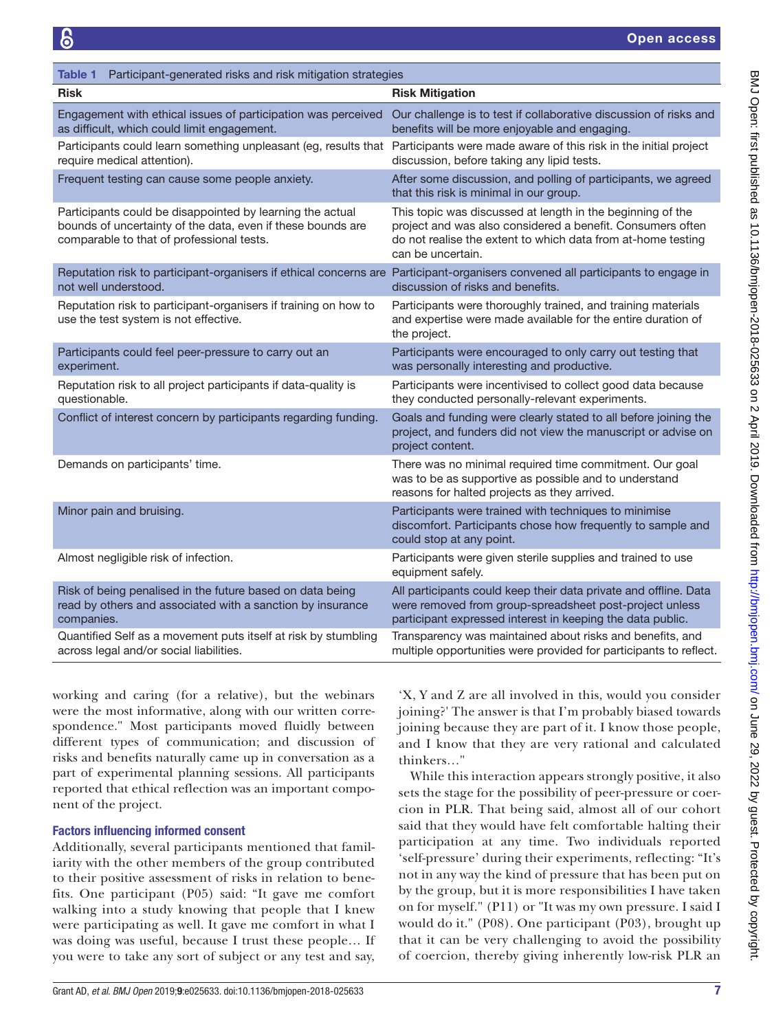<span id="page-6-0"></span>

| <b>Risk</b>                                                                                                                                                           | <b>Risk Mitigation</b>                                                                                                                                                                                        |
|-----------------------------------------------------------------------------------------------------------------------------------------------------------------------|---------------------------------------------------------------------------------------------------------------------------------------------------------------------------------------------------------------|
| Engagement with ethical issues of participation was perceived<br>as difficult, which could limit engagement.                                                          | Our challenge is to test if collaborative discussion of risks and<br>benefits will be more enjoyable and engaging.                                                                                            |
| Participants could learn something unpleasant (eg, results that<br>require medical attention).                                                                        | Participants were made aware of this risk in the initial project<br>discussion, before taking any lipid tests.                                                                                                |
| Frequent testing can cause some people anxiety.                                                                                                                       | After some discussion, and polling of participants, we agreed<br>that this risk is minimal in our group.                                                                                                      |
| Participants could be disappointed by learning the actual<br>bounds of uncertainty of the data, even if these bounds are<br>comparable to that of professional tests. | This topic was discussed at length in the beginning of the<br>project and was also considered a benefit. Consumers often<br>do not realise the extent to which data from at-home testing<br>can be uncertain. |
| Reputation risk to participant-organisers if ethical concerns are Participant-organisers convened all participants to engage in<br>not well understood.               | discussion of risks and benefits.                                                                                                                                                                             |
| Reputation risk to participant-organisers if training on how to<br>use the test system is not effective.                                                              | Participants were thoroughly trained, and training materials<br>and expertise were made available for the entire duration of<br>the project.                                                                  |
| Participants could feel peer-pressure to carry out an<br>experiment.                                                                                                  | Participants were encouraged to only carry out testing that<br>was personally interesting and productive.                                                                                                     |
| Reputation risk to all project participants if data-quality is<br>questionable.                                                                                       | Participants were incentivised to collect good data because<br>they conducted personally-relevant experiments.                                                                                                |
| Conflict of interest concern by participants regarding funding.                                                                                                       | Goals and funding were clearly stated to all before joining the<br>project, and funders did not view the manuscript or advise on<br>project content.                                                          |
| Demands on participants' time.                                                                                                                                        | There was no minimal required time commitment. Our goal<br>was to be as supportive as possible and to understand<br>reasons for halted projects as they arrived.                                              |
| Minor pain and bruising.                                                                                                                                              | Participants were trained with techniques to minimise<br>discomfort. Participants chose how frequently to sample and<br>could stop at any point.                                                              |
| Almost negligible risk of infection.                                                                                                                                  | Participants were given sterile supplies and trained to use<br>equipment safely.                                                                                                                              |
| Risk of being penalised in the future based on data being<br>read by others and associated with a sanction by insurance<br>companies.                                 | All participants could keep their data private and offline. Data<br>were removed from group-spreadsheet post-project unless<br>participant expressed interest in keeping the data public.                     |
| Quantified Self as a movement puts itself at risk by stumbling<br>across legal and/or social liabilities.                                                             | Transparency was maintained about risks and benefits, and<br>multiple opportunities were provided for participants to reflect.                                                                                |

working and caring (for a relative), but the webinars were the most informative, along with our written correspondence." Most participants moved fluidly between different types of communication; and discussion of risks and benefits naturally came up in conversation as a part of experimental planning sessions. All participants reported that ethical reflection was an important component of the project.

Participant-generated risks and risk mitigation strategie

# Factors influencing informed consent

Additionally, several participants mentioned that familiarity with the other members of the group contributed to their positive assessment of risks in relation to benefits. One participant (P05) said: "It gave me comfort walking into a study knowing that people that I knew were participating as well. It gave me comfort in what I was doing was useful, because I trust these people… If you were to take any sort of subject or any test and say,

'X, Y and Z are all involved in this, would you consider joining?' The answer is that I'm probably biased towards joining because they are part of it. I know those people, and I know that they are very rational and calculated thinkers…"

While this interaction appears strongly positive, it also sets the stage for the possibility of peer-pressure or coercion in PLR. That being said, almost all of our cohort said that they would have felt comfortable halting their participation at any time. Two individuals reported 'self-pressure' during their experiments, reflecting: "It's not in any way the kind of pressure that has been put on by the group, but it is more responsibilities I have taken on for myself." (P11) or "It was my own pressure. I said I would do it." (P08). One participant (P03), brought up that it can be very challenging to avoid the possibility of coercion, thereby giving inherently low-risk PLR an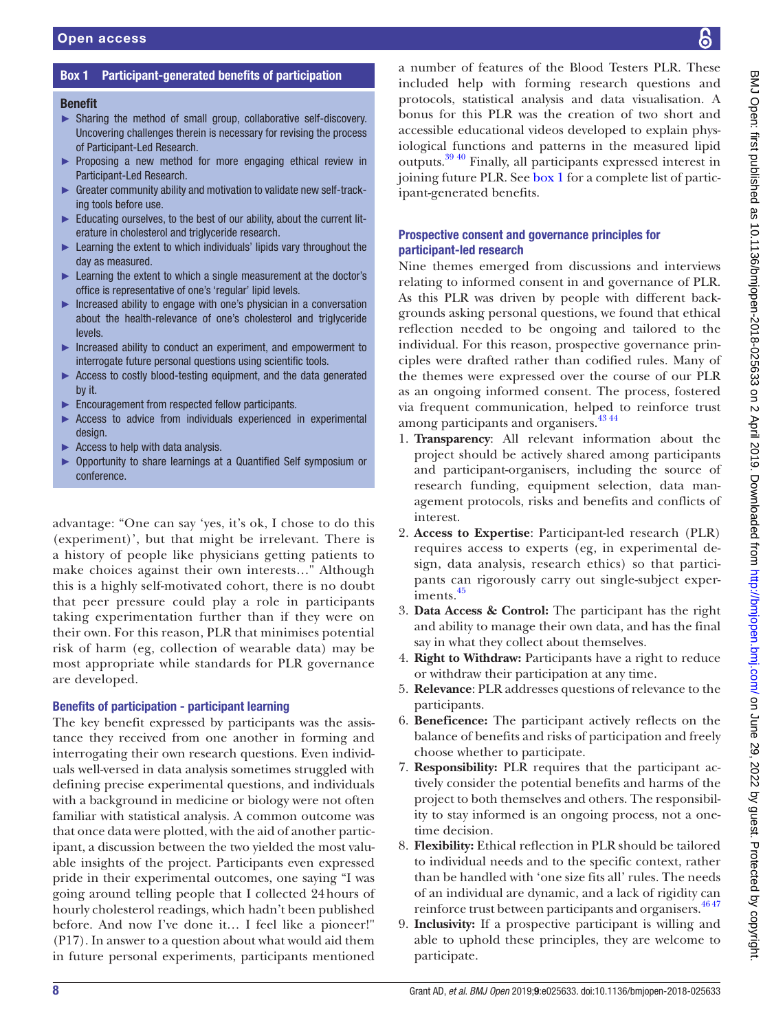# Box 1 Participant-generated benefits of participation

#### <span id="page-7-0"></span>Benefit

- ► Sharing the method of small group, collaborative self-discovery. Uncovering challenges therein is necessary for revising the process of Participant-Led Research.
- ► Proposing a new method for more engaging ethical review in Participant-Led Research.
- ► Greater community ability and motivation to validate new self-tracking tools before use.
- ► Educating ourselves, to the best of our ability, about the current literature in cholesterol and triglyceride research.
- ► Learning the extent to which individuals' lipids vary throughout the day as measured.
- ► Learning the extent to which a single measurement at the doctor's office is representative of one's 'regular' lipid levels.
- ► Increased ability to engage with one's physician in a conversation about the health-relevance of one's cholesterol and triglyceride levels.
- ► Increased ability to conduct an experiment, and empowerment to interrogate future personal questions using scientific tools.
- ► Access to costly blood-testing equipment, and the data generated by it.
- Encouragement from respected fellow participants.
- ► Access to advice from individuals experienced in experimental design.
- Access to help with data analysis.
- ► Opportunity to share learnings at a Quantified Self symposium or conference.

advantage: "One can say 'yes, it's ok, I chose to do this (experiment)', but that might be irrelevant. There is a history of people like physicians getting patients to make choices against their own interests…" Although this is a highly self-motivated cohort, there is no doubt that peer pressure could play a role in participants taking experimentation further than if they were on their own. For this reason, PLR that minimises potential risk of harm (eg, collection of wearable data) may be most appropriate while standards for PLR governance are developed.

# Benefits of participation - participant learning

The key benefit expressed by participants was the assistance they received from one another in forming and interrogating their own research questions. Even individuals well-versed in data analysis sometimes struggled with defining precise experimental questions, and individuals with a background in medicine or biology were not often familiar with statistical analysis. A common outcome was that once data were plotted, with the aid of another participant, a discussion between the two yielded the most valuable insights of the project. Participants even expressed pride in their experimental outcomes, one saying "I was going around telling people that I collected 24hours of hourly cholesterol readings, which hadn't been published before. And now I've done it… I feel like a pioneer!" (P17). In answer to a question about what would aid them in future personal experiments, participants mentioned

a number of features of the Blood Testers PLR. These included help with forming research questions and protocols, statistical analysis and data visualisation. A bonus for this PLR was the creation of two short and accessible educational videos developed to explain physiological functions and patterns in the measured lipid outputs[.39 40](#page-10-3) Finally, all participants expressed interest in joining future PLR. See [box](#page-7-0) 1 for a complete list of participant-generated benefits.

# Prospective consent and governance principles for participant-led research

Nine themes emerged from discussions and interviews relating to informed consent in and governance of PLR. As this PLR was driven by people with different backgrounds asking personal questions, we found that ethical reflection needed to be ongoing and tailored to the individual. For this reason, prospective governance principles were drafted rather than codified rules. Many of the themes were expressed over the course of our PLR as an ongoing informed consent. The process, fostered via frequent communication, helped to reinforce trust among participants and organisers.<sup>43</sup> 44

- 1. **Transparency**: All relevant information about the project should be actively shared among participants and participant-organisers, including the source of research funding, equipment selection, data management protocols, risks and benefits and conflicts of interest.
- 2. **Access to Expertise**: Participant-led research (PLR) requires access to experts (eg, in experimental design, data analysis, research ethics) so that participants can rigorously carry out single-subject exper-iments.<sup>[45](#page-10-5)</sup>
- 3. **Data Access & Control:** The participant has the right and ability to manage their own data, and has the final say in what they collect about themselves.
- 4. **Right to Withdraw:** Participants have a right to reduce or withdraw their participation at any time.
- 5. **Relevance**: PLR addresses questions of relevance to the participants.
- 6. **Beneficence:** The participant actively reflects on the balance of benefits and risks of participation and freely choose whether to participate.
- 7. **Responsibility:** PLR requires that the participant actively consider the potential benefits and harms of the project to both themselves and others. The responsibility to stay informed is an ongoing process, not a onetime decision.
- 8. **Flexibility:** Ethical reflection in PLR should be tailored to individual needs and to the specific context, rather than be handled with 'one size fits all' rules. The needs of an individual are dynamic, and a lack of rigidity can reinforce trust between participants and organisers.<sup>4647</sup>
- 9. **Inclusivity:** If a prospective participant is willing and able to uphold these principles, they are welcome to participate.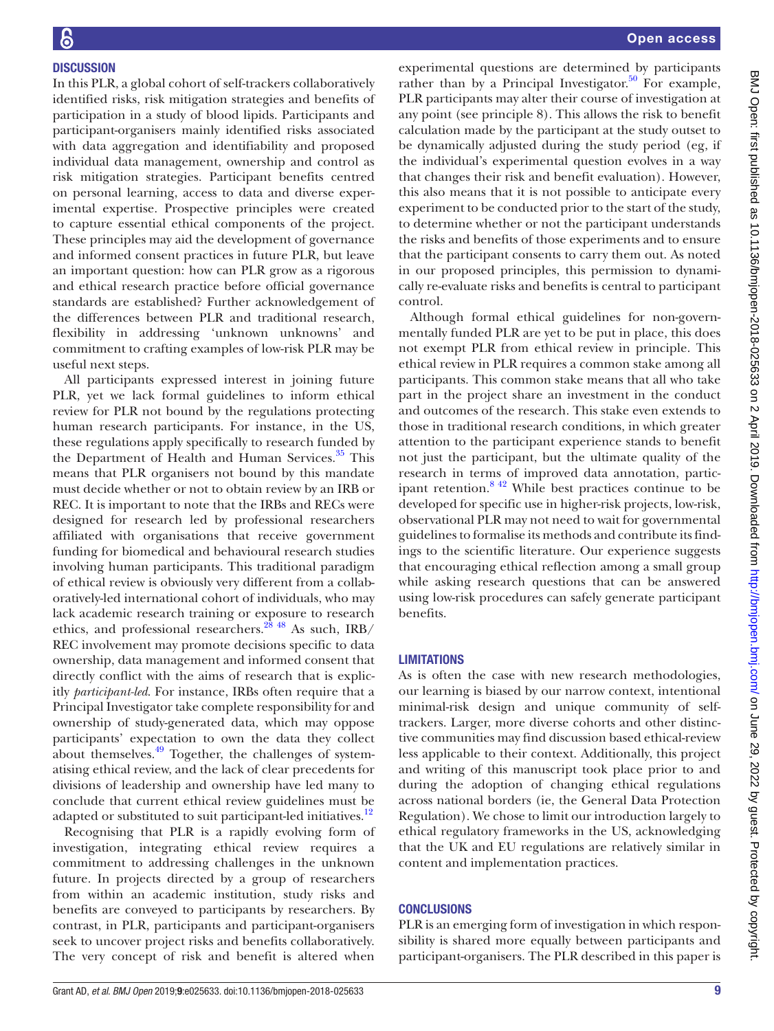# **DISCUSSION**

In this PLR, a global cohort of self-trackers collaboratively identified risks, risk mitigation strategies and benefits of participation in a study of blood lipids. Participants and participant-organisers mainly identified risks associated with data aggregation and identifiability and proposed individual data management, ownership and control as risk mitigation strategies. Participant benefits centred on personal learning, access to data and diverse experimental expertise. Prospective principles were created to capture essential ethical components of the project. These principles may aid the development of governance and informed consent practices in future PLR, but leave an important question: how can PLR grow as a rigorous and ethical research practice before official governance standards are established? Further acknowledgement of the differences between PLR and traditional research, flexibility in addressing 'unknown unknowns' and commitment to crafting examples of low-risk PLR may be useful next steps.

All participants expressed interest in joining future PLR, yet we lack formal guidelines to inform ethical review for PLR not bound by the regulations protecting human research participants. For instance, in the US, these regulations apply specifically to research funded by the Department of Health and Human Services.<sup>35</sup> This means that PLR organisers not bound by this mandate must decide whether or not to obtain review by an IRB or REC. It is important to note that the IRBs and RECs were designed for research led by professional researchers affiliated with organisations that receive government funding for biomedical and behavioural research studies involving human participants. This traditional paradigm of ethical review is obviously very different from a collaboratively-led international cohort of individuals, who may lack academic research training or exposure to research ethics, and professional researchers.<sup>28 48</sup> As such, IRB/ REC involvement may promote decisions specific to data ownership, data management and informed consent that directly conflict with the aims of research that is explicitly *participant-led*. For instance, IRBs often require that a Principal Investigator take complete responsibility for and ownership of study-generated data, which may oppose participants' expectation to own the data they collect about themselves. $49$  Together, the challenges of systematising ethical review, and the lack of clear precedents for divisions of leadership and ownership have led many to conclude that current ethical review guidelines must be adapted or substituted to suit participant-led initiatives.<sup>12</sup>

Recognising that PLR is a rapidly evolving form of investigation, integrating ethical review requires a commitment to addressing challenges in the unknown future. In projects directed by a group of researchers from within an academic institution, study risks and benefits are conveyed to participants by researchers. By contrast, in PLR, participants and participant-organisers seek to uncover project risks and benefits collaboratively. The very concept of risk and benefit is altered when

experimental questions are determined by participants rather than by a Principal Investigator.<sup>50</sup> For example, PLR participants may alter their course of investigation at any point (see principle 8). This allows the risk to benefit calculation made by the participant at the study outset to be dynamically adjusted during the study period (eg, if the individual's experimental question evolves in a way that changes their risk and benefit evaluation). However, this also means that it is not possible to anticipate every experiment to be conducted prior to the start of the study, to determine whether or not the participant understands the risks and benefits of those experiments and to ensure that the participant consents to carry them out. As noted in our proposed principles, this permission to dynamically re-evaluate risks and benefits is central to participant control.

Although formal ethical guidelines for non-governmentally funded PLR are yet to be put in place, this does not exempt PLR from ethical review in principle. This ethical review in PLR requires a common stake among all participants. This common stake means that all who take part in the project share an investment in the conduct and outcomes of the research. This stake even extends to those in traditional research conditions, in which greater attention to the participant experience stands to benefit not just the participant, but the ultimate quality of the research in terms of improved data annotation, participant retention.[8 42](#page-9-5) While best practices continue to be developed for specific use in higher-risk projects, low-risk, observational PLR may not need to wait for governmental guidelines to formalise its methods and contribute its findings to the scientific literature. Our experience suggests that encouraging ethical reflection among a small group while asking research questions that can be answered using low-risk procedures can safely generate participant benefits.

#### **LIMITATIONS**

As is often the case with new research methodologies, our learning is biased by our narrow context, intentional minimal-risk design and unique community of selftrackers. Larger, more diverse cohorts and other distinctive communities may find discussion based ethical-review less applicable to their context. Additionally, this project and writing of this manuscript took place prior to and during the adoption of changing ethical regulations across national borders (ie, the General Data Protection Regulation). We chose to limit our introduction largely to ethical regulatory frameworks in the US, acknowledging that the UK and EU regulations are relatively similar in content and implementation practices.

# **CONCLUSIONS**

PLR is an emerging form of investigation in which responsibility is shared more equally between participants and participant-organisers. The PLR described in this paper is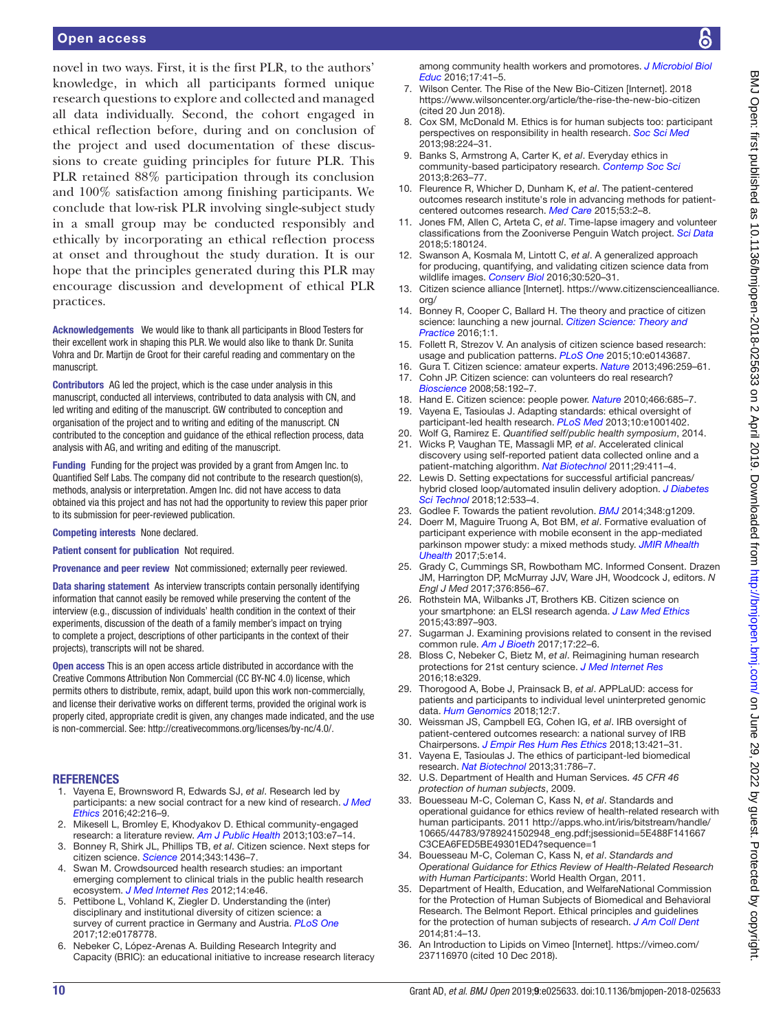#### Open access

novel in two ways. First, it is the first PLR, to the authors' knowledge, in which all participants formed unique research questions to explore and collected and managed all data individually. Second, the cohort engaged in ethical reflection before, during and on conclusion of the project and used documentation of these discussions to create guiding principles for future PLR. This PLR retained 88% participation through its conclusion and 100% satisfaction among finishing participants. We conclude that low-risk PLR involving single-subject study in a small group may be conducted responsibly and ethically by incorporating an ethical reflection process at onset and throughout the study duration. It is our hope that the principles generated during this PLR may encourage discussion and development of ethical PLR practices.

Acknowledgements We would like to thank all participants in Blood Testers for their excellent work in shaping this PLR. We would also like to thank Dr. Sunita Vohra and Dr. Martijn de Groot for their careful reading and commentary on the manuscript.

Contributors AG led the project, which is the case under analysis in this manuscript, conducted all interviews, contributed to data analysis with CN, and led writing and editing of the manuscript. GW contributed to conception and organisation of the project and to writing and editing of the manuscript. CN contributed to the conception and guidance of the ethical reflection process, data analysis with AG, and writing and editing of the manuscript.

Funding Funding for the project was provided by a grant from Amgen Inc. to Quantified Self Labs. The company did not contribute to the research question(s), methods, analysis or interpretation. Amgen Inc. did not have access to data obtained via this project and has not had the opportunity to review this paper prior to its submission for peer-reviewed publication.

Competing interests None declared.

Patient consent for publication Not required.

Provenance and peer review Not commissioned; externally peer reviewed.

Data sharing statement As interview transcripts contain personally identifying information that cannot easily be removed while preserving the content of the interview (e.g., discussion of individuals' health condition in the context of their experiments, discussion of the death of a family member's impact on trying to complete a project, descriptions of other participants in the context of their projects), transcripts will not be shared.

Open access This is an open access article distributed in accordance with the Creative Commons Attribution Non Commercial (CC BY-NC 4.0) license, which permits others to distribute, remix, adapt, build upon this work non-commercially, and license their derivative works on different terms, provided the original work is properly cited, appropriate credit is given, any changes made indicated, and the use is non-commercial. See: <http://creativecommons.org/licenses/by-nc/4.0/>.

#### **REFERENCES**

- <span id="page-9-0"></span>1. Vayena E, Brownsword R, Edwards SJ, *et al*. Research led by participants: a new social contract for a new kind of research. *[J Med](http://dx.doi.org/10.1136/medethics-2015-102663)  [Ethics](http://dx.doi.org/10.1136/medethics-2015-102663)* 2016;42:216–9.
- <span id="page-9-1"></span>2. Mikesell L, Bromley E, Khodyakov D. Ethical community-engaged research: a literature review. *[Am J Public Health](http://dx.doi.org/10.2105/AJPH.2013.301605)* 2013;103:e7–14.
- <span id="page-9-10"></span>3. Bonney R, Shirk JL, Phillips TB, *et al*. Citizen science. Next steps for citizen science. *[Science](http://dx.doi.org/10.1126/science.1251554)* 2014;343:1436–7.
- <span id="page-9-3"></span>4. Swan M. Crowdsourced health research studies: an important emerging complement to clinical trials in the public health research ecosystem. *[J Med Internet Res](http://dx.doi.org/10.2196/jmir.1988)* 2012;14:e46.
- <span id="page-9-8"></span>5. Pettibone L, Vohland K, Ziegler D. Understanding the (inter) disciplinary and institutional diversity of citizen science: a survey of current practice in Germany and Austria. *[PLoS One](http://dx.doi.org/10.1371/journal.pone.0178778)* 2017;12:e0178778.
- <span id="page-9-2"></span>6. Nebeker C, López-Arenas A. Building Research Integrity and Capacity (BRIC): an educational initiative to increase research literacy

among community health workers and promotores. *[J Microbiol Biol](http://dx.doi.org/10.1128/jmbe.v17i1.1020)  [Educ](http://dx.doi.org/10.1128/jmbe.v17i1.1020)* 2016;17:41–5.

- <span id="page-9-4"></span>7. Wilson Center. The Rise of the New Bio-Citizen [Internet]. 2018 <https://www.wilsoncenter.org/article/the-rise-the-new-bio-citizen> (cited 20 Jun 2018).
- <span id="page-9-5"></span>Cox SM, McDonald M. Ethics is for human subjects too: participant perspectives on responsibility in health research. *[Soc Sci Med](http://dx.doi.org/10.1016/j.socscimed.2013.09.015)* 2013;98:224–31.
- <span id="page-9-6"></span>9. Banks S, Armstrong A, Carter K, *et al*. Everyday ethics in community-based participatory research. *[Contemp Soc Sci](http://dx.doi.org/10.1080/21582041.2013.769618)* 2013;8:263–77.
- <span id="page-9-7"></span>10. Fleurence R, Whicher D, Dunham K, *et al*. The patient-centered outcomes research institute's role in advancing methods for patientcentered outcomes research. *[Med Care](http://dx.doi.org/10.1097/MLR.0000000000000244)* 2015;53:2–8.
- 11. Jones FM, Allen C, Arteta C, *et al*. Time-lapse imagery and volunteer classifications from the Zooniverse Penguin Watch project. *[Sci Data](http://dx.doi.org/10.1038/sdata.2018.124)* 2018;5:180124.
- <span id="page-9-22"></span>12. Swanson A, Kosmala M, Lintott C, *et al*. A generalized approach for producing, quantifying, and validating citizen science data from wildlife images. *[Conserv Biol](http://dx.doi.org/10.1111/cobi.12695)* 2016;30:520–31.
- <span id="page-9-9"></span>13. Citizen science alliance [Internet]. [https://www.citizensciencealliance.](https://www.citizensciencealliance.org/) [org/](https://www.citizensciencealliance.org/)
- 14. Bonney R, Cooper C, Ballard H. The theory and practice of citizen science: launching a new journal. *[Citizen Science: Theory and](http://dx.doi.org/10.5334/cstp.65)  [Practice](http://dx.doi.org/10.5334/cstp.65)* 2016;1:1.
- <span id="page-9-14"></span>15. Follett R, Strezov V. An analysis of citizen science based research: usage and publication patterns. *[PLoS One](http://dx.doi.org/10.1371/journal.pone.0143687)* 2015;10:e0143687.
- 16. Gura T. Citizen science: amateur experts. *[Nature](http://dx.doi.org/10.1038/nj7444-259a)* 2013;496:259–61. 17. Cohn JP. Citizen science: can volunteers do real research?
- *[Bioscience](http://dx.doi.org/10.1641/B580303)* 2008;58:192–7.
- 18. Hand E. Citizen science: people power. *[Nature](http://dx.doi.org/10.1038/466685a)* 2010;466:685–7. 19. Vayena E, Tasioulas J. Adapting standards: ethical oversight of
- participant-led health research. *[PLoS Med](http://dx.doi.org/10.1371/journal.pmed.1001402)* 2013;10:e1001402. 20. Wolf G, Ramirez E. *Quantified self/public health symposium*, 2014.
- <span id="page-9-12"></span><span id="page-9-11"></span>21. Wicks P, Vaughan TE, Massagli MP, *et al*. Accelerated clinical discovery using self-reported patient data collected online and a
- <span id="page-9-13"></span>patient-matching algorithm. *[Nat Biotechnol](http://dx.doi.org/10.1038/nbt.1837)* 2011;29:411–4. 22. Lewis D. Setting expectations for successful artificial pancreas/ hybrid closed loop/automated insulin delivery adoption. *[J Diabetes](http://dx.doi.org/10.1177/1932296817730083)  [Sci Technol](http://dx.doi.org/10.1177/1932296817730083)* 2018;12:533–4.
- 23. Godlee F. Towards the patient revolution. *[BMJ](http://dx.doi.org/10.1136/bmj.g1209)* 2014;348:g1209.
- 24. Doerr M, Maguire Truong A, Bot BM, *et al*. Formative evaluation of participant experience with mobile econsent in the app-mediated parkinson mpower study: a mixed methods study. *[JMIR Mhealth](http://dx.doi.org/10.2196/mhealth.6521)  [Uhealth](http://dx.doi.org/10.2196/mhealth.6521)* 2017;5:e14.
- 25. Grady C, Cummings SR, Rowbotham MC. Informed Consent. Drazen JM, Harrington DP, McMurray JJV, Ware JH, Woodcock J, editors. *N Engl J Med* 2017;376:856–67.
- <span id="page-9-15"></span>26. Rothstein MA, Wilbanks JT, Brothers KB. Citizen science on your smartphone: an ELSI research agenda. *[J Law Med Ethics](http://dx.doi.org/10.1111/jlme.12327)* 2015;43:897–903.
- 27. Sugarman J. Examining provisions related to consent in the revised common rule. *[Am J Bioeth](http://dx.doi.org/10.1080/15265161.2017.1329483)* 2017;17:22–6.
- <span id="page-9-21"></span>28. Bloss C, Nebeker C, Bietz M, *et al*. Reimagining human research protections for 21st century science. *[J Med Internet Res](http://dx.doi.org/10.2196/jmir.6634)* 2016;18:e329.
- 29. Thorogood A, Bobe J, Prainsack B, *et al*. APPLaUD: access for patients and participants to individual level uninterpreted genomic data. *[Hum Genomics](http://dx.doi.org/10.1186/s40246-018-0139-5)* 2018;12:7.
- 30. Weissman JS, Campbell EG, Cohen IG, *et al*. IRB oversight of patient-centered outcomes research: a national survey of IRB Chairpersons. *[J Empir Res Hum Res Ethics](http://dx.doi.org/10.1177/1556264618779785)* 2018;13:421–31.
- 31. Vayena E, Tasioulas J. The ethics of participant-led biomedical research. *[Nat Biotechnol](http://dx.doi.org/10.1038/nbt.2692)* 2013;31:786–7.
- <span id="page-9-16"></span>32. U.S. Department of Health and Human Services. *45 CFR 46 protection of human subjects*, 2009.
- <span id="page-9-17"></span>33. Bouesseau M-C, Coleman C, Kass N, *et al*. Standards and operational guidance for ethics review of health-related research with human participants. 2011 [http://apps.who.int/iris/bitstream/handle/](http://apps.who.int/iris/bitstream/handle/10665/44783/9789241502948_eng.pdf;jsessionid=5E488F141667C3CEA6FED5BE49301ED4?sequence=1) [10665/44783/9789241502948\\_eng.pdf;jsessionid=5E488F141667](http://apps.who.int/iris/bitstream/handle/10665/44783/9789241502948_eng.pdf;jsessionid=5E488F141667C3CEA6FED5BE49301ED4?sequence=1) [C3CEA6FED5BE49301ED4?sequence=1](http://apps.who.int/iris/bitstream/handle/10665/44783/9789241502948_eng.pdf;jsessionid=5E488F141667C3CEA6FED5BE49301ED4?sequence=1)
- <span id="page-9-18"></span>34. Bouesseau M-C, Coleman C, Kass N, *et al*. *Standards and Operational Guidance for Ethics Review of Health-Related Research with Human Participants*: World Health Organ, 2011.
- <span id="page-9-19"></span>35. Department of Health, Education, and WelfareNational Commission for the Protection of Human Subjects of Biomedical and Behavioral Research. The Belmont Report. Ethical principles and guidelines for the protection of human subjects of research. *[J Am Coll Dent](http://www.ncbi.nlm.nih.gov/pubmed/25951677)* 2014;81:4–13.
- <span id="page-9-20"></span>36. An Introduction to Lipids on Vimeo [Internet]. [https://vimeo.com/](https://vimeo.com/237116970) [237116970](https://vimeo.com/237116970) (cited 10 Dec 2018).